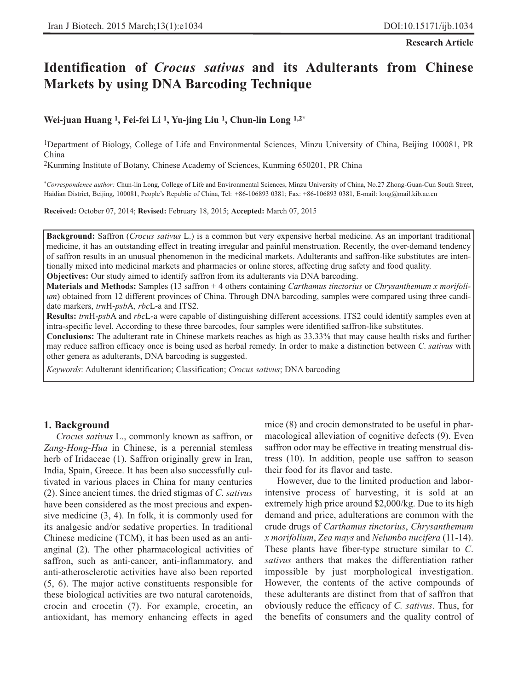**Research Article**

# **Identification of** *Crocus sativus* **and its Adulterants from Chinese Markets by using DNA Barcoding Technique**

## **Wei-juan Huang 1, Fei-fei Li 1, Yu-jing Liu 1, Chun-lin Long 1,2\***

1Department of Biology, College of Life and Environmental Sciences, Minzu University of China, Beijing 100081, PR China

2Kunming Institute of Botany, Chinese Academy of Sciences, Kunming 650201, PR China

*\*Correspondence author:* Chun-lin Long, College of Life and Environmental Sciences, Minzu University of China, No.27 Zhong-Guan-Cun South Street, Haidian District, Beijing, 100081, People's Republic of China, Tel: +86-106893 0381; Fax: +86-106893 0381, E-mail: long@mail.kib.ac.cn

**Received:** October 07, 2014; **Revised:** February 18, 2015; **Accepted:** March 07, 2015

**Background:** Saffron (*Crocus sativus* L.) is a common but very expensive herbal medicine. As an important traditional medicine, it has an outstanding effect in treating irregular and painful menstruation. Recently, the over-demand tendency of saffron results in an unusual phenomenon in the medicinal markets. Adulterants and saffron-like substitutes are intentionally mixed into medicinal markets and pharmacies or online stores, affecting drug safety and food quality. **Objectives:** Our study aimed to identify saffron from its adulterants via DNA barcoding.

**Materials and Methods:** Samples (13 saffron + 4 others containing *Carthamus tinctorius* or *Chrysanthemum x morifolium*) obtained from 12 different provinces of China. Through DNA barcoding, samples were compared using three candidate markers, *trn*H-*psb*A, *rbc*L-a and ITS2.

**Results:** *trn*H-*psb*A and *rbc*L-a were capable of distinguishing different accessions. ITS2 could identify samples even at intra-specific level. According to these three barcodes, four samples were identified saffron-like substitutes.

**Conclusions:** The adulterant rate in Chinese markets reaches as high as 33.33% that may cause health risks and further may reduce saffron efficacy once is being used as herbal remedy. In order to make a distinction between *C*. *sativus* with other genera as adulterants, DNA barcoding is suggested.

*Keywords*: Adulterant identification; Classification; *Crocus sativus*; DNA barcoding

### **1. Background**

*Crocus sativus* L., commonly known as saffron, or *Zang-Hong-Hua* in Chinese, is a perennial stemless herb of Iridaceae (1). Saffron originally grew in Iran, India, Spain, Greece. It has been also successfully cultivated in various places in China for many centuries (2). Since ancient times, the dried stigmas of *C*. *sativus* have been considered as the most precious and expensive medicine (3, 4). In folk, it is commonly used for its analgesic and/or sedative properties. In traditional Chinese medicine (TCM), it has been used as an antianginal (2). The other pharmacological activities of saffron, such as anti-cancer, anti-inflammatory, and anti-atherosclerotic activities have also been reported (5, 6). The major active constituents responsible for these biological activities are two natural carotenoids, crocin and crocetin (7). For example, crocetin, an antioxidant, has memory enhancing effects in aged mice (8) and crocin demonstrated to be useful in pharmacological alleviation of cognitive defects (9). Even saffron odor may be effective in treating menstrual distress (10). In addition, people use saffron to season their food for its flavor and taste.

However, due to the limited production and laborintensive process of harvesting, it is sold at an extremely high price around \$2,000/kg. Due to its high demand and price, adulterations are common with the crude drugs of *Carthamus tinctorius*, *Chrysanthemum x morifolium*, *Zea mays* and *Nelumbo nucifera* (11-14). These plants have fiber-type structure similar to *C*. *sativus* anthers that makes the differentiation rather impossible by just morphological investigation. However, the contents of the active compounds of these adulterants are distinct from that of saffron that obviously reduce the efficacy of *C. sativus*. Thus, for the benefits of consumers and the quality control of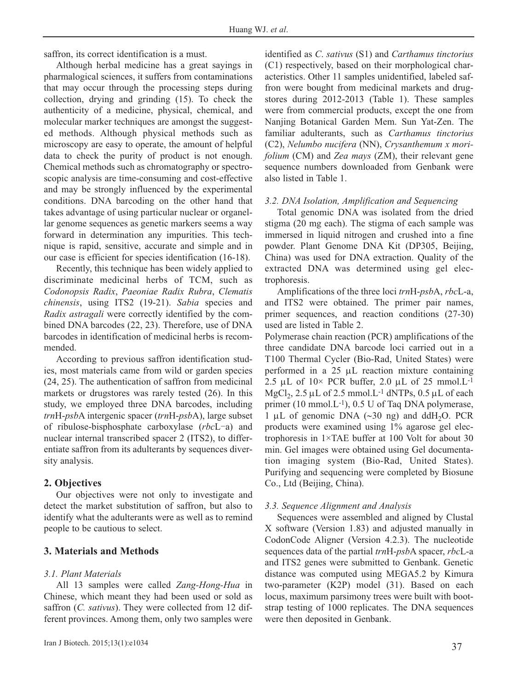saffron, its correct identification is a must.

Although herbal medicine has a great sayings in pharmalogical sciences, it suffers from contaminations that may occur through the processing steps during collection, drying and grinding (15). To check the authenticity of a medicine, physical, chemical, and molecular marker techniques are amongst the suggested methods. Although physical methods such as microscopy are easy to operate, the amount of helpful data to check the purity of product is not enough. Chemical methods such as chromatography or spectroscopic analysis are time-consuming and cost-effective and may be strongly influenced by the experimental conditions. DNA barcoding on the other hand that takes advantage of using particular nuclear or organellar genome sequences as genetic markers seems a way forward in determination any impurities. This technique is rapid, sensitive, accurate and simple and in our case is efficient for species identification (16-18).

Recently, this technique has been widely applied to discriminate medicinal herbs of TCM, such as *Codonopsis Radix*, *Paeoniae Radix Rubra*, *Clematis chinensis*, using ITS2 (19-21). *Sabia* species and *Radix astragali* were correctly identified by the combined DNA barcodes (22, 23). Therefore, use of DNA barcodes in identification of medicinal herbs is recommended.

According to previous saffron identification studies, most materials came from wild or garden species (24, 25). The authentication of saffron from medicinal markets or drugstores was rarely tested (26). In this study, we employed three DNA barcodes, including *trn*H-*psb*A intergenic spacer (*trn*H-*psb*A), large subset of ribulose-bisphosphate carboxylase (*rbc*L-a) and nuclear internal transcribed spacer 2 (ITS2), to differentiate saffron from its adulterants by sequences diversity analysis.

# **2. Objectives**

Our objectives were not only to investigate and detect the market substitution of saffron, but also to identify what the adulterants were as well as to remind people to be cautious to select.

# **3. Materials and Methods**

# *3.1. Plant Materials*

All 13 samples were called *Zang-Hong-Hua* in Chinese, which meant they had been used or sold as saffron (*C. sativus*). They were collected from 12 different provinces. Among them, only two samples were

identified as *C*. *sativus* (S1) and *Carthamus tinctorius* (C1) respectively, based on their morphological characteristics. Other 11 samples unidentified, labeled saffron were bought from medicinal markets and drugstores during 2012-2013 (Table 1). These samples were from commercial products, except the one from Nanjing Botanical Garden Mem. Sun Yat-Zen. The familiar adulterants, such as *Carthamus tinctorius* (C2), *Nelumbo nucifera* (NN), *Crysanthemum x morifolium* (CM) and *Zea mays* (ZM), their relevant gene sequence numbers downloaded from Genbank were also listed in Table 1.

## *3.2. DNA Isolation, Amplification and Sequencing*

Total genomic DNA was isolated from the dried stigma (20 mg each). The stigma of each sample was immersed in liquid nitrogen and crushed into a fine powder. Plant Genome DNA Kit (DP305, Beijing, China) was used for DNA extraction. Quality of the extracted DNA was determined using gel electrophoresis.

Amplifications of the three loci *trn*H-*psb*A, *rbc*L-a, and ITS2 were obtained. The primer pair names, primer sequences, and reaction conditions (27-30) used are listed in Table 2.

Polymerase chain reaction (PCR) amplifications of the three candidate DNA barcode loci carried out in a T100 Thermal Cycler (Bio-Rad, United States) were performed in a 25 μL reaction mixture containing 2.5 μL of  $10\times$  PCR buffer, 2.0 μL of 25 mmol.L<sup>-1</sup> MgCl<sub>2</sub>,  $2.5 \mu L$  of 2.5 mmol.L<sup>-1</sup> dNTPs,  $0.5 \mu L$  of each primer (10 mmol.L-1), 0.5 U of Taq DNA polymerase,  $1 \mu L$  of genomic DNA (∼30 ng) and ddH<sub>2</sub>O. PCR products were examined using 1% agarose gel electrophoresis in 1×TAE buffer at 100 Volt for about 30 min. Gel images were obtained using Gel documentation imaging system (Bio-Rad, United States). Purifying and sequencing were completed by Biosune Co., Ltd (Beijing, China).

## *3.3. Sequence Alignment and Analysis*

Sequences were assembled and aligned by Clustal X software (Version 1.83) and adjusted manually in CodonCode Aligner (Version 4.2.3). The nucleotide sequences data of the partial *trn*H-*psb*A spacer, *rbc*L-a and ITS2 genes were submitted to Genbank. Genetic distance was computed using MEGA5.2 by Kimura two-parameter (K2P) model (31). Based on each locus, maximum parsimony trees were built with bootstrap testing of 1000 replicates. The DNA sequences were then deposited in Genbank.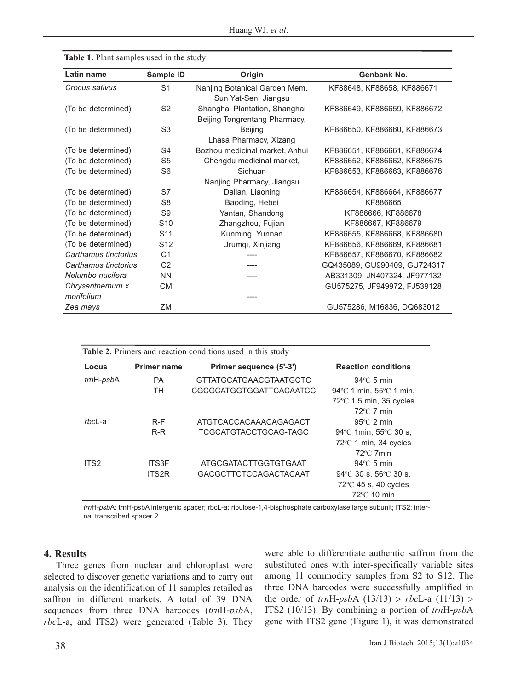| Latin name           | Sample ID       | Origin                         | Genbank No.                  |
|----------------------|-----------------|--------------------------------|------------------------------|
| Crocus sativus       | S <sub>1</sub>  | Nanjing Botanical Garden Mem.  | KF88648, KF88658, KF886671   |
|                      |                 | Sun Yat-Sen, Jiangsu           |                              |
| (To be determined)   | S <sub>2</sub>  | Shanghai Plantation, Shanghai  | KF886649, KF886659, KF886672 |
|                      |                 | Beijing Tongrentang Pharmacy,  |                              |
| (To be determined)   | S <sub>3</sub>  | <b>Beijing</b>                 | KF886650, KF886660, KF886673 |
|                      |                 | Lhasa Pharmacy, Xizang         |                              |
| (To be determined)   | S4              | Bozhou medicinal market, Anhui | KF886651, KF886661, KF886674 |
| (To be determined)   | S5              | Chengdu medicinal market,      | KF886652, KF886662, KF886675 |
| (To be determined)   | S6              | Sichuan                        | KF886653, KF886663, KF886676 |
|                      |                 | Nanjing Pharmacy, Jiangsu      |                              |
| (To be determined)   | S7              | Dalian, Liaoning               | KF886654, KF886664, KF886677 |
| (To be determined)   | S <sub>8</sub>  | Baoding, Hebei                 | KF886665                     |
| (To be determined)   | S9              | Yantan, Shandong               | KF886666, KF886678           |
| (To be determined)   | S <sub>10</sub> | Zhangzhou, Fujian              | KF886667, KF886679           |
| (To be determined)   | S <sub>11</sub> | Kunming, Yunnan                | KF886655, KF886668, KF886680 |
| (To be determined)   | S <sub>12</sub> | Urumqi, Xinjiang               | KF886656, KF886669, KF886681 |
| Carthamus tinctorius | C <sub>1</sub>  |                                | KF886657, KF886670, KF886682 |
| Carthamus tinctorius | C <sub>2</sub>  |                                | GQ435089, GU990409, GU724317 |
| Nelumbo nucifera     | <b>NN</b>       | ----                           | AB331309, JN407324, JF977132 |
| Chrysanthemum x      | <b>CM</b>       |                                | GU575275, JF949972, FJ539128 |
| morifolium           |                 | ----                           |                              |
| Zea mays             | ZM              |                                | GU575286, M16836, DQ683012   |

| Table 1. Plant samples used in the study |  |  |  |  |  |  |
|------------------------------------------|--|--|--|--|--|--|
|------------------------------------------|--|--|--|--|--|--|

| Locus            | <b>Primer name</b> | Primer sequence (5'-3') | <b>Reaction conditions</b>                 |
|------------------|--------------------|-------------------------|--------------------------------------------|
| trnH-psbA        | <b>PA</b>          | GTTATGCATGAACGTAATGCTC  | $94^{\circ}$ C 5 min                       |
|                  | TН                 | CGCGCATGGTGGATTCACAATCC | 94 °C 1 min, $55$ °C 1 min,                |
|                  |                    |                         | $72^{\circ}$ C 1.5 min, 35 cycles          |
|                  |                    |                         | $72^{\circ}$ C 7 min                       |
| $rbc$ -a         | $R-F$              | ATGTCACCACAAACAGAGACT   | $95^{\circ}$ C 2 min                       |
|                  | $R-R$              | TCGCATGTACCTGCAG-TAGC   | $94^{\circ}$ C 1min, 55 $^{\circ}$ C 30 s, |
|                  |                    |                         | $72^{\circ}$ C 1 min, 34 cycles            |
|                  |                    |                         | $72^{\circ}$ C 7min                        |
| ITS <sub>2</sub> | <b>ITS3F</b>       | ATGCGATACTTGGTGTGAAT    | $94^{\circ}$ C 5 min                       |
|                  | ITS2R              | GACGCTTCTCCAGACTACAAT   | $94^{\circ}$ C 30 s, 56 $^{\circ}$ C 30 s, |
|                  |                    |                         | $72^{\circ}$ C 45 s, 40 cycles             |
|                  |                    |                         | $72^{\circ}$ C 10 min                      |

*trn*H-*psb*A: trnH-psbA intergenic spacer; rbcL-a: ribulose-1,4-bisphosphate carboxylase large subunit; ITS2: internal transcribed spacer 2.

## **4. Results**

Three genes from nuclear and chloroplast were selected to discover genetic variations and to carry out analysis on the identification of 11 samples retailed as saffron in different markets. A total of 39 DNA sequences from three DNA barcodes (*trn*H-*psb*A, *rbc*L-a, and ITS2) were generated (Table 3). They were able to differentiate authentic saffron from the substituted ones with inter-specifically variable sites among 11 commodity samples from S2 to S12. The three DNA barcodes were successfully amplified in the order of *trn*H-*psb*A (13/13) > *rbc*L-a (11/13) > ITS2 (10/13). By combining a portion of *trn*H-*psb*A gene with ITS2 gene (Figure 1), it was demonstrated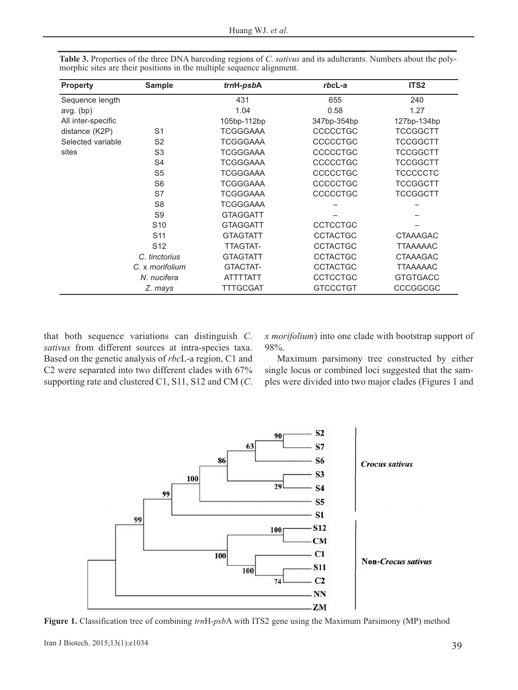| <b>Property</b>    | <b>Sample</b>   | trnH-psbA       | rbcL-a          | ITS <sub>2</sub> |
|--------------------|-----------------|-----------------|-----------------|------------------|
| Sequence length    |                 | 431             | 655             | 240              |
| $avg.$ (bp)        |                 | 1.04            | 0.58            | 1.27             |
| All inter-specific |                 | 105bp-112bp     | 347bp-354bp     | 127bp-134bp      |
| distance (K2P)     | S <sub>1</sub>  | <b>TCGGGAAA</b> | <b>CCCCCTGC</b> | TCCGGCTT         |
| Selected variable  | S <sub>2</sub>  | <b>TCGGGAAA</b> | <b>CCCCCTGC</b> | <b>TCCGGCTT</b>  |
| sites              | S <sub>3</sub>  | <b>TCGGGAAA</b> | <b>CCCCCTGC</b> | <b>TCCGGCTT</b>  |
|                    | S <sub>4</sub>  | <b>TCGGGAAA</b> | <b>CCCCCTGC</b> | <b>TCCGGCTT</b>  |
|                    | S <sub>5</sub>  | <b>TCGGGAAA</b> | <b>CCCCCTGC</b> | <b>TCCCCCTC</b>  |
|                    | S6              | TCGGGAAA        | <b>CCCCCTGC</b> | TCCGGCTT         |
|                    | S7              | <b>TCGGGAAA</b> | <b>CCCCCTGC</b> | <b>TCCGGCTT</b>  |
|                    | S <sub>8</sub>  | <b>TCGGGAAA</b> |                 |                  |
|                    | S <sub>9</sub>  | <b>GTAGGATT</b> |                 |                  |
|                    | S <sub>10</sub> | <b>GTAGGATT</b> | <b>CCTCCTGC</b> |                  |
|                    | S <sub>11</sub> | <b>GTAGTATT</b> | <b>CCTACTGC</b> | <b>CTAAAGAC</b>  |
|                    | S <sub>12</sub> | TTAGTAT-        | <b>CCTACTGC</b> | <b>TTAAAAAC</b>  |
|                    | C. tinctorius   | <b>GTAGTATT</b> | <b>CCTACTGC</b> | <b>CTAAAGAC</b>  |
|                    | C. x morifolium | GTACTAT-        | <b>CCTACTGC</b> | <b>TTAAAAAC</b>  |
|                    | N. nucifera     | <b>ATTTTATT</b> | <b>CCTCCTGC</b> | <b>GTGTGACC</b>  |
|                    | Z. mays         | TTTGCGAT        | <b>GTCCCTGT</b> | CCCGGCGC         |

**Table 3.** Properties of the three DNA barcoding regions of *C*. *sativus* and its adulterants. Numbers about the polymorphic sites are their positions in the multiple sequence alignment.

that both sequence variations can distinguish *C*. *sativus* from different sources at intra-species taxa. Based on the genetic analysis of *rbc*L-a region, C1 and C2 were separated into two different clades with 67% supporting rate and clustered C1, S11, S12 and CM (*C*.

*x morifolium*) into one clade with bootstrap support of 98%.

Maximum parsimony tree constructed by either single locus or combined loci suggested that the samples were divided into two major clades (Figures 1 and



**Figure 1.** Classification tree of combining *trn*H-*psb*A with ITS2 gene using the Maximum Parsimony (MP) method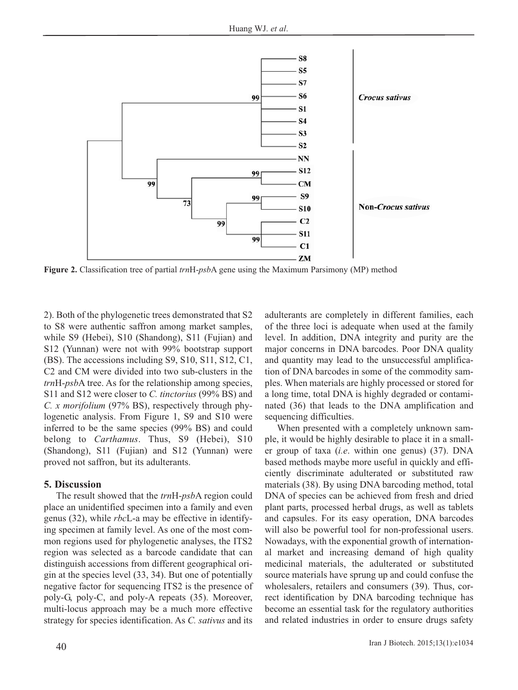

**Figure 2.** Classification tree of partial *trn*H-*psb*A gene using the Maximum Parsimony (MP) method

2). Both of the phylogenetic trees demonstrated that S2 to S8 were authentic saffron among market samples, while S9 (Hebei), S10 (Shandong), S11 (Fujian) and S12 (Yunnan) were not with 99% bootstrap support (BS). The accessions including S9, S10, S11, S12, C1, C2 and CM were divided into two sub-clusters in the *trn*H-*psb*A tree. As for the relationship among species, S11 and S12 were closer to *C. tinctorius* (99% BS) and *C. x morifolium* (97% BS), respectively through phylogenetic analysis. From Figure 1, S9 and S10 were inferred to be the same species (99% BS) and could belong to *Carthamus*. Thus, S9 (Hebei), S10 (Shandong), S11 (Fujian) and S12 (Yunnan) were proved not saffron, but its adulterants.

### **5. Discussion**

The result showed that the *trn*H-*psb*A region could place an unidentified specimen into a family and even genus (32), while *rbc*L-a may be effective in identifying specimen at family level. As one of the most common regions used for phylogenetic analyses, the ITS2 region was selected as a barcode candidate that can distinguish accessions from different geographical origin at the species level (33, 34). But one of potentially negative factor for sequencing ITS2 is the presence of poly-G, poly-C, and poly-A repeats (35). Moreover, multi-locus approach may be a much more effective strategy for species identification. As *C. sativus* and its adulterants are completely in different families, each of the three loci is adequate when used at the family level. In addition, DNA integrity and purity are the major concerns in DNA barcodes. Poor DNA quality and quantity may lead to the unsuccessful amplification of DNA barcodes in some of the commodity samples. When materials are highly processed or stored for a long time, total DNA is highly degraded or contaminated (36) that leads to the DNA amplification and sequencing difficulties.

When presented with a completely unknown sample, it would be highly desirable to place it in a smaller group of taxa (*i.e*. within one genus) (37). DNA based methods maybe more useful in quickly and efficiently discriminate adulterated or substituted raw materials (38). By using DNA barcoding method, total DNA of species can be achieved from fresh and dried plant parts, processed herbal drugs, as well as tablets and capsules. For its easy operation, DNA barcodes will also be powerful tool for non-professional users. Nowadays, with the exponential growth of international market and increasing demand of high quality medicinal materials, the adulterated or substituted source materials have sprung up and could confuse the wholesalers, retailers and consumers (39). Thus, correct identification by DNA barcoding technique has become an essential task for the regulatory authorities and related industries in order to ensure drugs safety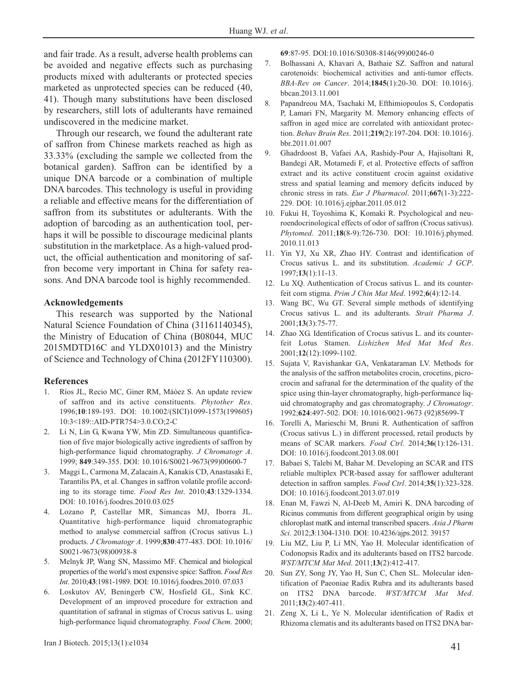and fair trade. As a result, adverse health problems can be avoided and negative effects such as purchasing products mixed with adulterants or protected species marketed as unprotected species can be reduced (40, 41). Though many substitutions have been disclosed by researchers, still lots of adulterants have remained undiscovered in the medicine market.

Through our research, we found the adulterant rate of saffron from Chinese markets reached as high as 33.33% (excluding the sample we collected from the botanical garden). Saffron can be identified by a unique DNA barcode or a combination of multiple DNA barcodes. This technology is useful in providing a reliable and effective means for the differentiation of saffron from its substitutes or adulterants. With the adoption of barcoding as an authentication tool, perhaps it will be possible to discourage medicinal plants substitution in the marketplace. As a high-valued product, the official authentication and monitoring of saffron become very important in China for safety reasons. And DNA barcode tool is highly recommended.

#### **Acknowledgements**

This research was supported by the National Natural Science Foundation of China (31161140345), the Ministry of Education of China (B08044, MUC 2015MDTD16C and YLDX01013) and the Ministry of Science and Technology of China (2012FY110300).

### **References**

- 1. Ríos JL, Recio MC, Giner RM, Máòez S. An update review of saffron and its active constituents. *Phytother Res*. 1996;**10**:189-193. DOI: 10.1002/(SICI)1099-1573(199605) 10:3<189::AID-PTR754>3.0.CO;2-C
- 2. Li N, Lin G, Kwana YW, Min ZD. Simultaneous quantification of five major biologically active ingredients of saffron by high-performance liquid chromatography. *J Chromatogr A*. 1999; **849**:349-355. DOI: 10.1016/S0021-9673(99)00600-7
- 3. Maggi L, Carmona M, Zalacain A, Kanakis CD, Anastasaki E, Tarantilis PA, et al. Changes in saffron volatile profile according to its storage time. *Food Res Int*. 2010;**43**:1329-1334. DOI: 10.1016/j.foodres.2010.03.025
- 4. Lozano P, Castellar MR, Simancas MJ, Iborra JL. Quantitative high-performance liquid chromatographic method to analyse commercial saffron (Crocus sativus L.) products. *J Chromatogr A*. 1999;**830**:477-483. DOI: 10.1016/ S0021-9673(98)00938-8
- 5. Melnyk JP, Wang SN, Massimo MF. Chemical and biological properties of the world's most expensive spice: Saffron. *Food Res Int*. 2010;**43**:1981-1989. DOI: 10.1016/j.foodres.2010. 07.033
- 6. Loskutov AV, Beningerb CW, Hosfield GL, Sink KC. Development of an improved procedure for extraction and quantitation of safranal in stigmas of Crocus sativus L. using high-performance liquid chromatography. *Food Chem*. 2000;

41 Iran J Biotech. 2015;13(1):e1034

**69**:87-95. DOI:10.1016/S0308-8146(99)00246-0

- 7. Bolhassani A, Khavari A, Bathaie SZ. Saffron and natural carotenoids: biochemical activities and anti-tumor effects. *BBA-Rev on Cancer*. 2014;**1845**(1):20-30. DOI: 10.1016/j. bbcan.2013.11.001
- 8. Papandreou MA, Tsachaki M, Efthimiopoulos S, Cordopatis P, Lamari FN, Margarity M. Memory enhancing effects of saffron in aged mice are correlated with antioxidant protection. *Behav Brain Res*. 2011;**219**(2):197-204. DOI: 10.1016/j. bbr.2011.01.007
- 9. Ghadrdoost B, Vafaei AA, Rashidy-Pour A, Hajisoltani R, Bandegi AR, Motamedi F, et al. Protective effects of saffron extract and its active constituent crocin against oxidative stress and spatial learning and memory deficits induced by chronic stress in rats. *Eur J Pharmacol*. 2011;**667**(1-3):222- 229. DOI: 10.1016/j.ejphar.2011.05.012
- 10. Fukui H, Toyoshima K, Komaki R. Psychological and neuroendocrinological effects of odor of saffron (Crocus sativus). *Phytomed*. 2011;**18**(8-9):726-730. DOI: 10.1016/j.phymed. 2010.11.013
- 11. Yin YJ, Xu XR, Zhao HY. Contrast and identification of Crocus sativus L. and its substitution. *Academic J GCP*. 1997;**13**(1):11-13.
- 12. Lu XQ. Authentication of Crocus sativus L. and its counterfeit corn stigma. *Prim J Chin Mat Med*. 1992;**6**(4):12-14.
- 13. Wang BC, Wu GT. Several simple methods of identifying Crocus sativus L. and its adulterants. *Strait Pharma J*. 2001;**13**(3):75-77.
- 14. Zhao XG. Identification of Crocus sativus L. and its counterfeit Lotus Stamen. *Lishizhen Med Mat Med Res*. 2001;**12**(12):1099-1102.
- 15. Sujata V, Ravishankar GA, Venkataraman LV. Methods for the analysis of the saffron metabolites crocin, crocetins, picrocrocin and safranal for the determination of the quality of the spice using thin-layer chromatography, high-performance liquid chromatography and gas chromatography. *J Chromatogr*. 1992;**624**:497-502. DOI: 10.1016/0021-9673 (92)85699-T
- 16. Torelli A, Marieschi M, Bruni R. Authentication of saffron (Crocus sativus L.) in different processed, retail products by means of SCAR markers. *Food Ctrl*. 2014;**36**(1):126-131. DOI: 10.1016/j.foodcont.2013.08.001
- 17. Babaei S, Talebi M, Bahar M. Developing an SCAR and ITS reliable multiplex PCR-based assay for safflower adulterant detection in saffron samples. *Food Ctrl*. 2014;**35**(1):323-328. DOI: 10.1016/j.foodcont.2013.07.019
- 18. Enan M, Fawzi N, Al-Deeb M, Amiri K. DNA barcoding of Ricinus communis from different geographical origin by using chloroplast matK and internal transcribed spacers. *Asia J Pharm Sci*. 2012;**3**:1304-1310. DOI: 10.4236/ajps.2012. 39157
- 19. Liu MZ, Liu P, Li MN, Yao H. Molecular identification of Codonopsis Radix and its adulterants based on ITS2 barcode. *WST/MTCM Mat Med*. 2011;**13**(2):412-417.
- 20. Sun ZY, Song JY, Yao H, Sun C, Chen SL. Molecular identification of Paeoniae Radix Rubra and its adulterants based on ITS2 DNA barcode. *WST/MTCM Mat Med*. 2011;**13**(2):407-411.
- 21. Zeng X, Li L, Ye N. Molecular identification of Radix et Rhizoma clematis and its adulterants based on ITS2 DNA bar-